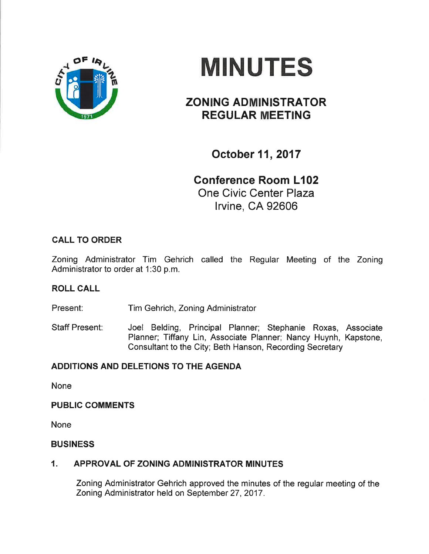



# ZONING ADMINISTRATOR REGULAR MEETING

October 11, 2017

Gonference Room L102

One Civic Center Plaza lrvine, CA 92606

# CALL TO ORDER

Zoning Administrator Tim Gehrich called the Regular Meeting of the Zoning Administrator to order at 1:30 p.m.

# ROLL CALL

Present: Tim Gehrich, Zoning Administrator

Staff Present: Joel Belding, Principal Planner; Stephanie Roxas, Associate Planner; Tiffany Lin, Associate Planner; Nancy Huynh, Kapstone, Consultant to the City; Beth Hanson, Recording Secretary

# ADDITIONS AND DELETIONS TO THE AGENDA

None

#### PUBLIC COMMENTS

None

#### BUSINESS

# 1. APPROVAL OF ZONING ADMINISTRATOR MINUTES

Zoning Administrator Gehrich approved the minutes of the regular meeting of the Zoning Administrator held on September 27,2017.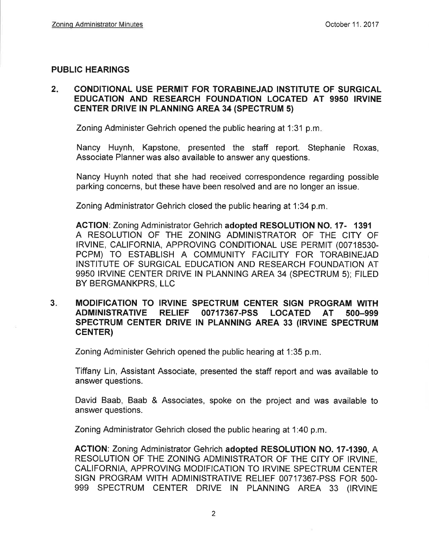#### PUBLIC HEARINGS

#### $2.$ CONDITIONAL USE PERMIT FOR TORABINEJAD INSTITUTE OF SURGICAL EDUCATION AND RESEARCH FOUNDATION LOCATED AT 9950 IRVINE **CENTER DRIVE IN PLANNING AREA 34 (SPECTRUM 5)**

Zoning Administer Gehrich opened the public hearing at 1:31 p.m

Nancy Huynh, Kapstone, presented the staff report. Stephanie Roxas, Associate Planner was also available to answer any questions.

Nancy Huynh noted that she had received correspondence regarding possible parking concerns, but these have been resolved and are no longer an issue.

Zoning Administrator Gehrich closed the public hearing at 1:34 p.m

ACTION: Zoning Administrator Gehrich adopted RESOLUTION NO. 17- <sup>1391</sup> A RESOLUTION OF THE ZONING ADMINISTRATOR OF THE CITY OF IRVINE, CALIFORNIA, APPROVING CONDITIONAL USE PERMIT (00718530-PCPM) TO ESTABLISH A COMMUNITY FACILITY FOR TORABINEJAD INSTITUTE OF SURGICAL EDUCATION AND RESEARCH FOUNDATION AT 9950 IRVINE CENTER DRIVE lN PLANNING AREA 34 (SPECTRUM 5); FILED BY BERGMANKPRS, LLC

#### MODIFICATION TO IRVINE SPECTRUM CENTER SIGN PROGRAM WITH ADMINISTRATIVE RELIEF OO717367.PSS LOCATED AT 5OO-999 SPECTRUM CENTER DRIVE IN PLANNING AREA 33 (IRVINE SPECTRUM cENTER) 3.

Zoning Administer Gehrich opened the public hearing at 1:35 p.m

Tiffany Lin, Assistant Associate, presented the staff report and was available to answer questions.

David Baab, Baab & Associates, spoke on the project and was available to answer questions.

Zoning Administrator Gehrich closed the public hearing at 1:40 p.m.

ACTION: Zoning Administrator Gehrich adopted RESOLUTION NO. 17-1390, A RESOLUTION OF THE ZONING ADMINISTRATOR OF THE CITY OF IRVINE, CALIFORNIA, APPROVING MODIFICATION TO IRVINE SPECTRUM CENTER SIGN PROGRAM WITH ADMINISTRATIVE RELIEF 00717367-PSS FOR 5OO-999 SPECTRUM CENTER DRIVE IN PLANNING AREA 33 (IRVINE